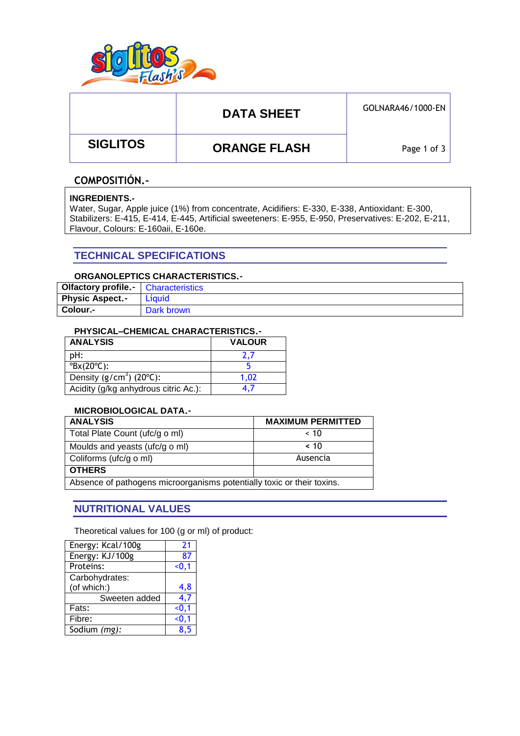

# DATA SHEET **GOLNARA46/1000-EN**

 **SIGLITOS ORANGE FLASH**

Page 1 of 3

## **COMPOSITIÓN.-**

#### **INGREDIENTS.-**

Water, Sugar, Apple juice (1%) from concentrate, Acidifiers: E-330, E-338, Antioxidant: E-300, Stabilizers: E-415, E-414, E-445, Artificial sweeteners: E-955, E-950, Preservatives: E-202, E-211, Flavour, Colours: E-160aii, E-160e.

## **TECHNICAL SPECIFICATIONS**

### **ORGANOLEPTICS CHARACTERISTICS.-**

| Olfactory profile.-    | <b>Characteristics</b> |
|------------------------|------------------------|
| <b>Physic Aspect.-</b> | Líquid                 |
| Colour.-               | Dark brown             |

#### **PHYSICAL–CHEMICAL CHARACTERISTICS.-**

| <b>ANALYSIS</b>                       | <b>VALOUR</b> |  |  |
|---------------------------------------|---------------|--|--|
| pH:                                   | 2.7           |  |  |
| $\textdegree$ Bx(20 $\textdegree$ C): |               |  |  |
| Density $(g/cm3)$ (20 $°C$ ):         | 1.02          |  |  |
| Acidity (g/kg anhydrous citric Ac.):  |               |  |  |

## **MICROBIOLOGICAL DATA.-**

| <b>ANALYSIS</b>                                                        | <b>MAXIMUM PERMITTED</b> |  |  |
|------------------------------------------------------------------------|--------------------------|--|--|
| Total Plate Count (ufc/g o ml)                                         | ~< 10                    |  |  |
| Moulds and yeasts (ufc/g o ml)                                         | ~< 10                    |  |  |
| Coliforms (ufc/g o ml)                                                 | Ausencia                 |  |  |
| <b>OTHERS</b>                                                          |                          |  |  |
| Absence of pathogens microorganisms potentially toxic or their toxins. |                          |  |  |

## **NUTRITIONAL VALUES**

Theoretical values for 100 (g or ml) of product:

| Energy: Kcal/100g | 21     |
|-------------------|--------|
| Energy: KJ/100g   | 87     |
| Proteins:         | $-0,1$ |
| Carbohydrates:    |        |
| (of which:)       | 4,8    |
| Sweeten added     | 4,7    |
| Fats:             | $0.1$  |
| Fibre:            | < 0, 1 |
| Sodium (mg):      | 8.5    |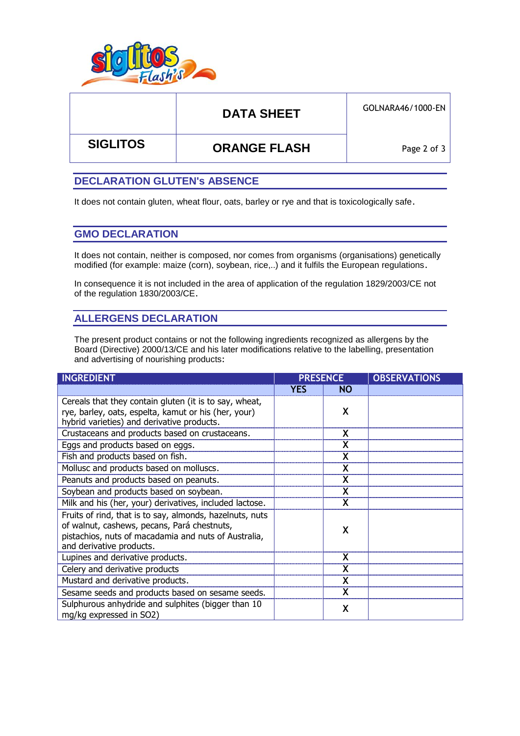

# DATA SHEET **GOLNARA46/1000-EN**

 **SIGLITOS ORANGE FLASH**

Page 2 of 3

## **DECLARATION GLUTEN's ABSENCE**

It does not contain gluten, wheat flour, oats, barley or rye and that is toxicologically safe.

## **GMO DECLARATION**

It does not contain, neither is composed, nor comes from organisms (organisations) genetically modified (for example: maize (corn), soybean, rice,..) and it fulfils the European regulations.

In consequence it is not included in the area of application of the regulation 1829/2003/CE not of the regulation 1830/2003/CE.

## **ALLERGENS DECLARATION**

The present product contains or not the following ingredients recognized as allergens by the Board (Directive) 2000/13/CE and his later modifications relative to the labelling, presentation and advertising of nourishing products:

| <b>INGREDIENT</b>                                                                                                                                                                           | <b>PRESENCE</b> |           | <b>OBSERVATIONS</b> |
|---------------------------------------------------------------------------------------------------------------------------------------------------------------------------------------------|-----------------|-----------|---------------------|
|                                                                                                                                                                                             | <b>YES</b>      | <b>NO</b> |                     |
| Cereals that they contain gluten (it is to say, wheat,<br>rye, barley, oats, espelta, kamut or his (her, your)<br>hybrid varieties) and derivative products.                                |                 | X         |                     |
| Crustaceans and products based on crustaceans.                                                                                                                                              |                 | X         |                     |
| Eggs and products based on eggs.                                                                                                                                                            |                 | X         |                     |
| Fish and products based on fish.                                                                                                                                                            |                 |           |                     |
| Mollusc and products based on molluscs.                                                                                                                                                     |                 | X         |                     |
| Peanuts and products based on peanuts.                                                                                                                                                      |                 | X         |                     |
| Soybean and products based on soybean.                                                                                                                                                      |                 | X         |                     |
| Milk and his (her, your) derivatives, included lactose.                                                                                                                                     |                 |           |                     |
| Fruits of rind, that is to say, almonds, hazelnuts, nuts<br>of walnut, cashews, pecans, Pará chestnuts,<br>pistachios, nuts of macadamia and nuts of Australia,<br>and derivative products. |                 | X         |                     |
| Lupines and derivative products.                                                                                                                                                            |                 | X         |                     |
| Celery and derivative products                                                                                                                                                              |                 |           |                     |
| Mustard and derivative products.                                                                                                                                                            |                 |           |                     |
| Sesame seeds and products based on sesame seeds.                                                                                                                                            |                 | x         |                     |
| Sulphurous anhydride and sulphites (bigger than 10<br>mg/kg expressed in SO2)                                                                                                               |                 | X         |                     |